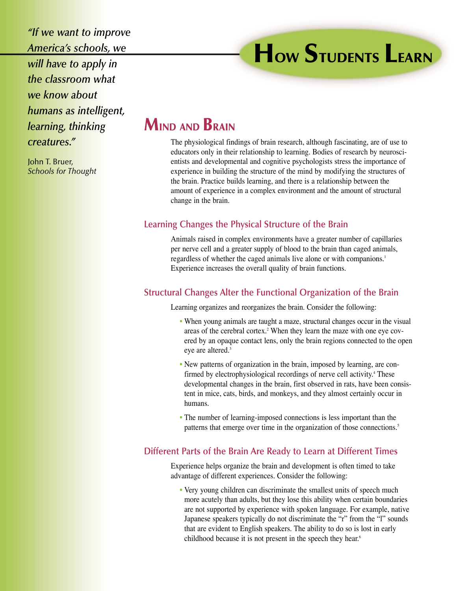*"If we want to improve America's schools, we will have to apply in the classroom what we know about humans as intelligent, learning, thinking creatures."*

John T. Bruer, *Schools for Thought*

# **HOW STUDENTS LEARN**

## **MIND AND BRAIN**

The physiological findings of brain research, although fascinating, are of use to educators only in their relationship to learning. Bodies of research by neuroscientists and developmental and cognitive psychologists stress the importance of experience in building the structure of the mind by modifying the structures of the brain. Practice builds learning, and there is a relationship between the amount of experience in a complex environment and the amount of structural change in the brain.

### **Learning Changes the Physical Structure of the Brain**

Animals raised in complex environments have a greater number of capillaries per nerve cell and a greater supply of blood to the brain than caged animals, regardless of whether the caged animals live alone or with companions.<sup>1</sup> Experience increases the overall quality of brain functions.

#### **Structural Changes Alter the Functional Organization of the Brain**

Learning organizes and reorganizes the brain. Consider the following:

- When young animals are taught a maze, structural changes occur in the visual areas of the cerebral cortex.2 When they learn the maze with one eye covered by an opaque contact lens, only the brain regions connected to the open eve are altered.<sup>3</sup>
- New patterns of organization in the brain, imposed by learning, are confirmed by electrophysiological recordings of nerve cell activity.<sup>4</sup> These developmental changes in the brain, first observed in rats, have been consistent in mice, cats, birds, and monkeys, and they almost certainly occur in humans.
- The number of learning-imposed connections is less important than the patterns that emerge over time in the organization of those connections.<sup>5</sup>

#### **Different Parts of the Brain Are Ready to Learn at Different Times**

Experience helps organize the brain and development is often timed to take advantage of different experiences. Consider the following:

• Very young children can discriminate the smallest units of speech much more acutely than adults, but they lose this ability when certain boundaries are not supported by experience with spoken language. For example, native Japanese speakers typically do not discriminate the "r" from the "l" sounds that are evident to English speakers. The ability to do so is lost in early childhood because it is not present in the speech they hear.<sup>6</sup>